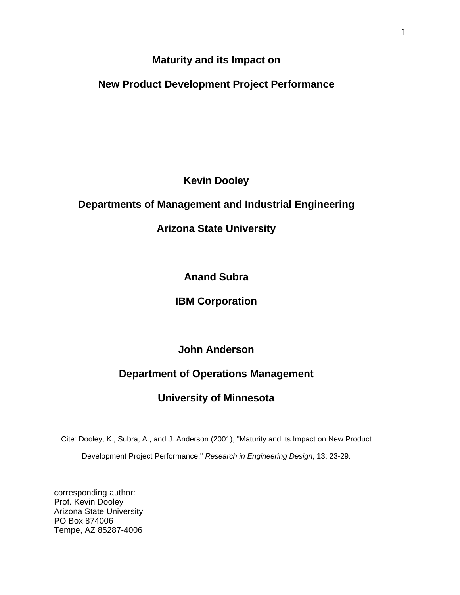**Maturity and its Impact on** 

**New Product Development Project Performance**

**Kevin Dooley**

# **Departments of Management and Industrial Engineering**

## **Arizona State University**

**Anand Subra**

**IBM Corporation**

# **John Anderson**

# **Department of Operations Management**

# **University of Minnesota**

Cite: Dooley, K., Subra, A., and J. Anderson (2001), "Maturity and its Impact on New Product

Development Project Performance," *Research in Engineering Design*, 13: 23-29.

corresponding author: Prof. Kevin Dooley Arizona State University PO Box 874006 Tempe, AZ 85287-4006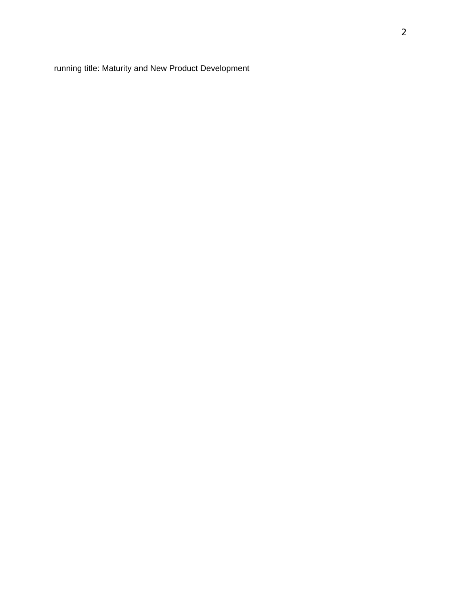running title: Maturity and New Product Development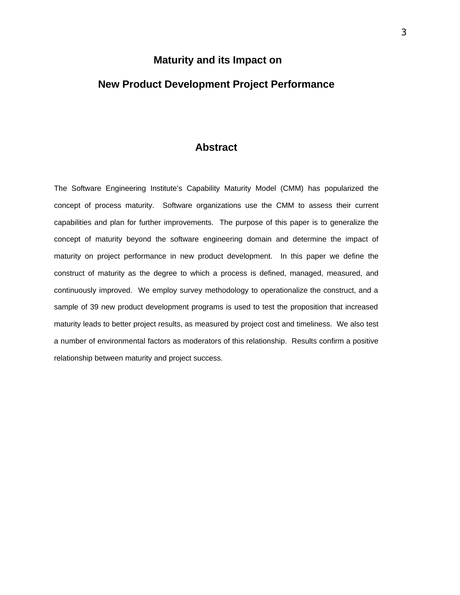## **Maturity and its Impact on**

### **New Product Development Project Performance**

#### **Abstract**

The Software Engineering Institute's Capability Maturity Model (CMM) has popularized the concept of process maturity. Software organizations use the CMM to assess their current capabilities and plan for further improvements. The purpose of this paper is to generalize the concept of maturity beyond the software engineering domain and determine the impact of maturity on project performance in new product development. In this paper we define the construct of maturity as the degree to which a process is defined, managed, measured, and continuously improved. We employ survey methodology to operationalize the construct, and a sample of 39 new product development programs is used to test the proposition that increased maturity leads to better project results, as measured by project cost and timeliness. We also test a number of environmental factors as moderators of this relationship. Results confirm a positive relationship between maturity and project success.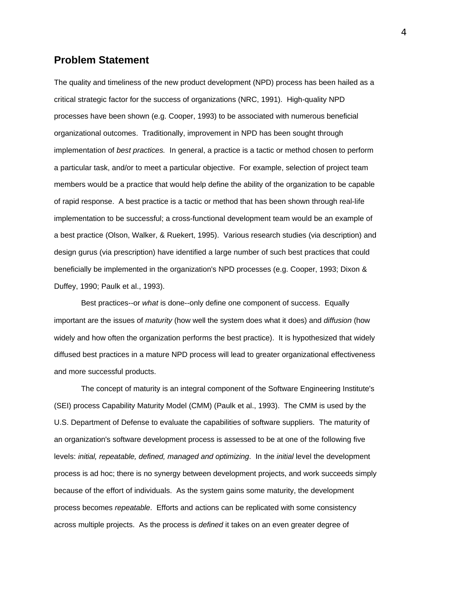### **Problem Statement**

The quality and timeliness of the new product development (NPD) process has been hailed as a critical strategic factor for the success of organizations (NRC, 1991). High-quality NPD processes have been shown (e.g. Cooper, 1993) to be associated with numerous beneficial organizational outcomes. Traditionally, improvement in NPD has been sought through implementation of *best practices.* In general, a practice is a tactic or method chosen to perform a particular task, and/or to meet a particular objective. For example, selection of project team members would be a practice that would help define the ability of the organization to be capable of rapid response. A best practice is a tactic or method that has been shown through real-life implementation to be successful; a cross-functional development team would be an example of a best practice (Olson, Walker, & Ruekert, 1995). Various research studies (via description) and design gurus (via prescription) have identified a large number of such best practices that could beneficially be implemented in the organization's NPD processes (e.g. Cooper, 1993; Dixon & Duffey, 1990; Paulk et al., 1993).

Best practices--or *what* is done--only define one component of success. Equally important are the issues of *maturity* (how well the system does what it does) and *diffusion* (how widely and how often the organization performs the best practice). It is hypothesized that widely diffused best practices in a mature NPD process will lead to greater organizational effectiveness and more successful products.

The concept of maturity is an integral component of the Software Engineering Institute's (SEI) process Capability Maturity Model (CMM) (Paulk et al., 1993). The CMM is used by the U.S. Department of Defense to evaluate the capabilities of software suppliers. The maturity of an organization's software development process is assessed to be at one of the following five levels: *initial, repeatable, defined, managed and optimizing*. In the *initial* level the development process is ad hoc; there is no synergy between development projects, and work succeeds simply because of the effort of individuals. As the system gains some maturity, the development process becomes *repeatable*. Efforts and actions can be replicated with some consistency across multiple projects. As the process is *defined* it takes on an even greater degree of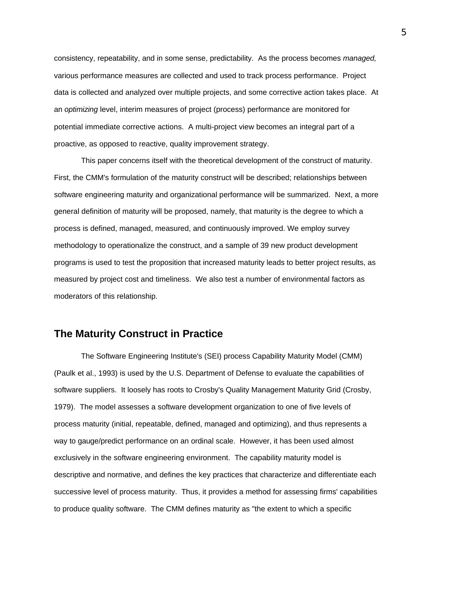consistency, repeatability, and in some sense, predictability. As the process becomes *managed,* various performance measures are collected and used to track process performance. Project data is collected and analyzed over multiple projects, and some corrective action takes place. At an *optimizing* level, interim measures of project (process) performance are monitored for potential immediate corrective actions. A multi-project view becomes an integral part of a proactive, as opposed to reactive, quality improvement strategy.

This paper concerns itself with the theoretical development of the construct of maturity. First, the CMM's formulation of the maturity construct will be described; relationships between software engineering maturity and organizational performance will be summarized. Next, a more general definition of maturity will be proposed, namely, that maturity is the degree to which a process is defined, managed, measured, and continuously improved. We employ survey methodology to operationalize the construct, and a sample of 39 new product development programs is used to test the proposition that increased maturity leads to better project results, as measured by project cost and timeliness. We also test a number of environmental factors as moderators of this relationship.

#### **The Maturity Construct in Practice**

The Software Engineering Institute's (SEI) process Capability Maturity Model (CMM) (Paulk et al., 1993) is used by the U.S. Department of Defense to evaluate the capabilities of software suppliers. It loosely has roots to Crosby's Quality Management Maturity Grid (Crosby, 1979). The model assesses a software development organization to one of five levels of process maturity (initial, repeatable, defined, managed and optimizing), and thus represents a way to gauge/predict performance on an ordinal scale. However, it has been used almost exclusively in the software engineering environment. The capability maturity model is descriptive and normative, and defines the key practices that characterize and differentiate each successive level of process maturity. Thus, it provides a method for assessing firms' capabilities to produce quality software. The CMM defines maturity as "the extent to which a specific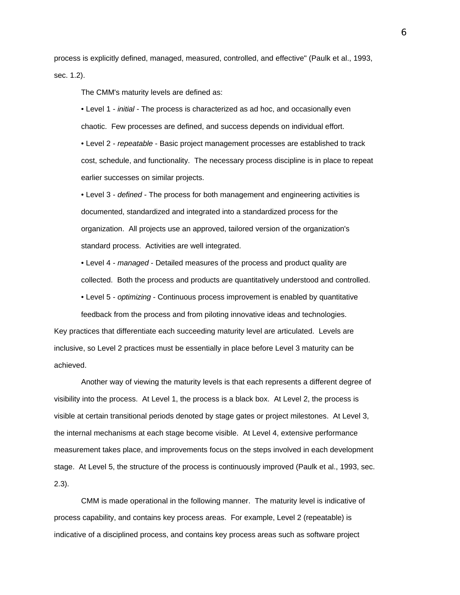process is explicitly defined, managed, measured, controlled, and effective" (Paulk et al., 1993, sec. 1.2).

The CMM's maturity levels are defined as:

• Level 1 - *initial* - The process is characterized as ad hoc, and occasionally even chaotic. Few processes are defined, and success depends on individual effort.

• Level 2 - *repeatable* - Basic project management processes are established to track cost, schedule, and functionality. The necessary process discipline is in place to repeat earlier successes on similar projects.

• Level 3 - *defined* - The process for both management and engineering activities is documented, standardized and integrated into a standardized process for the organization. All projects use an approved, tailored version of the organization's standard process. Activities are well integrated.

• Level 4 - *managed* - Detailed measures of the process and product quality are collected. Both the process and products are quantitatively understood and controlled.

• Level 5 - *optimizing* - Continuous process improvement is enabled by quantitative

feedback from the process and from piloting innovative ideas and technologies.

Key practices that differentiate each succeeding maturity level are articulated. Levels are inclusive, so Level 2 practices must be essentially in place before Level 3 maturity can be achieved.

Another way of viewing the maturity levels is that each represents a different degree of visibility into the process. At Level 1, the process is a black box. At Level 2, the process is visible at certain transitional periods denoted by stage gates or project milestones. At Level 3, the internal mechanisms at each stage become visible. At Level 4, extensive performance measurement takes place, and improvements focus on the steps involved in each development stage. At Level 5, the structure of the process is continuously improved (Paulk et al., 1993, sec. 2.3).

CMM is made operational in the following manner. The maturity level is indicative of process capability, and contains key process areas. For example, Level 2 (repeatable) is indicative of a disciplined process, and contains key process areas such as software project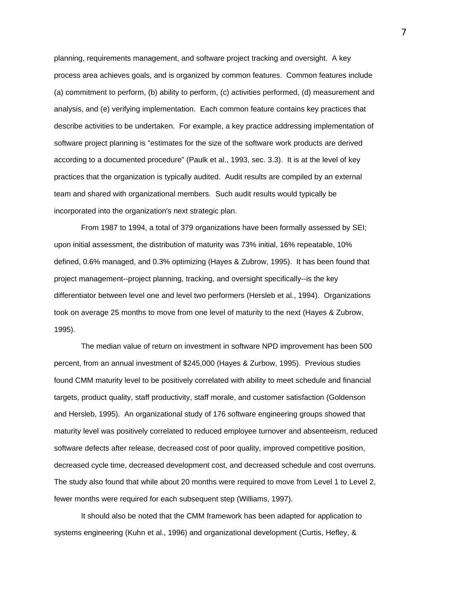planning, requirements management, and software project tracking and oversight. A key process area achieves goals, and is organized by common features. Common features include (a) commitment to perform, (b) ability to perform, (c) activities performed, (d) measurement and analysis, and (e) verifying implementation. Each common feature contains key practices that describe activities to be undertaken. For example, a key practice addressing implementation of software project planning is "estimates for the size of the software work products are derived according to a documented procedure" (Paulk et al., 1993, sec. 3.3). It is at the level of key practices that the organization is typically audited. Audit results are compiled by an external team and shared with organizational members. Such audit results would typically be incorporated into the organization's next strategic plan.

From 1987 to 1994, a total of 379 organizations have been formally assessed by SEI; upon initial assessment, the distribution of maturity was 73% initial, 16% repeatable, 10% defined, 0.6% managed, and 0.3% optimizing (Hayes & Zubrow, 1995). It has been found that project management--project planning, tracking, and oversight specifically--is the key differentiator between level one and level two performers (Hersleb et al., 1994). Organizations took on average 25 months to move from one level of maturity to the next (Hayes & Zubrow, 1995).

The median value of return on investment in software NPD improvement has been 500 percent, from an annual investment of \$245,000 (Hayes & Zurbow, 1995). Previous studies found CMM maturity level to be positively correlated with ability to meet schedule and financial targets, product quality, staff productivity, staff morale, and customer satisfaction (Goldenson and Hersleb, 1995). An organizational study of 176 software engineering groups showed that maturity level was positively correlated to reduced employee turnover and absenteeism, reduced software defects after release, decreased cost of poor quality, improved competitive position, decreased cycle time, decreased development cost, and decreased schedule and cost overruns. The study also found that while about 20 months were required to move from Level 1 to Level 2, fewer months were required for each subsequent step (Williams, 1997).

It should also be noted that the CMM framework has been adapted for application to systems engineering (Kuhn et al., 1996) and organizational development (Curtis, Hefley, &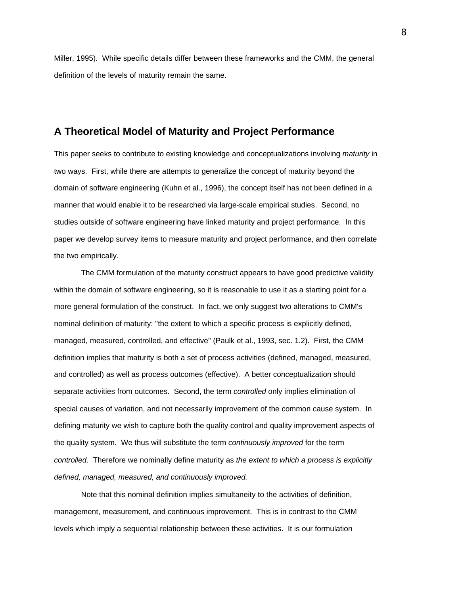Miller, 1995). While specific details differ between these frameworks and the CMM, the general definition of the levels of maturity remain the same.

#### **A Theoretical Model of Maturity and Project Performance**

This paper seeks to contribute to existing knowledge and conceptualizations involving *maturity* in two ways. First, while there are attempts to generalize the concept of maturity beyond the domain of software engineering (Kuhn et al., 1996), the concept itself has not been defined in a manner that would enable it to be researched via large-scale empirical studies. Second, no studies outside of software engineering have linked maturity and project performance. In this paper we develop survey items to measure maturity and project performance, and then correlate the two empirically.

The CMM formulation of the maturity construct appears to have good predictive validity within the domain of software engineering, so it is reasonable to use it as a starting point for a more general formulation of the construct. In fact, we only suggest two alterations to CMM's nominal definition of maturity: "the extent to which a specific process is explicitly defined, managed, measured, controlled, and effective" (Paulk et al., 1993, sec. 1.2). First, the CMM definition implies that maturity is both a set of process activities (defined, managed, measured, and controlled) as well as process outcomes (effective). A better conceptualization should separate activities from outcomes. Second, the term *controlled* only implies elimination of special causes of variation, and not necessarily improvement of the common cause system. In defining maturity we wish to capture both the quality control and quality improvement aspects of the quality system. We thus will substitute the term *continuously improved* for the term *controlled*. Therefore we nominally define maturity as *the extent to which a process is explicitly defined, managed, measured, and continuously improved.*

Note that this nominal definition implies simultaneity to the activities of definition, management, measurement, and continuous improvement. This is in contrast to the CMM levels which imply a sequential relationship between these activities. It is our formulation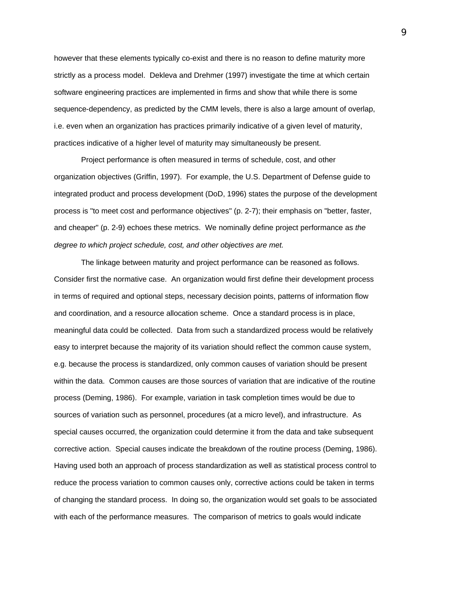however that these elements typically co-exist and there is no reason to define maturity more strictly as a process model. Dekleva and Drehmer (1997) investigate the time at which certain software engineering practices are implemented in firms and show that while there is some sequence-dependency, as predicted by the CMM levels, there is also a large amount of overlap, i.e. even when an organization has practices primarily indicative of a given level of maturity, practices indicative of a higher level of maturity may simultaneously be present.

Project performance is often measured in terms of schedule, cost, and other organization objectives (Griffin, 1997). For example, the U.S. Department of Defense guide to integrated product and process development (DoD, 1996) states the purpose of the development process is "to meet cost and performance objectives" (p. 2-7); their emphasis on "better, faster, and cheaper" (p. 2-9) echoes these metrics. We nominally define project performance as *the degree to which project schedule, cost, and other objectives are met.*

The linkage between maturity and project performance can be reasoned as follows. Consider first the normative case. An organization would first define their development process in terms of required and optional steps, necessary decision points, patterns of information flow and coordination, and a resource allocation scheme. Once a standard process is in place, meaningful data could be collected. Data from such a standardized process would be relatively easy to interpret because the majority of its variation should reflect the common cause system, e.g. because the process is standardized, only common causes of variation should be present within the data. Common causes are those sources of variation that are indicative of the routine process (Deming, 1986). For example, variation in task completion times would be due to sources of variation such as personnel, procedures (at a micro level), and infrastructure. As special causes occurred, the organization could determine it from the data and take subsequent corrective action. Special causes indicate the breakdown of the routine process (Deming, 1986). Having used both an approach of process standardization as well as statistical process control to reduce the process variation to common causes only, corrective actions could be taken in terms of changing the standard process. In doing so, the organization would set goals to be associated with each of the performance measures. The comparison of metrics to goals would indicate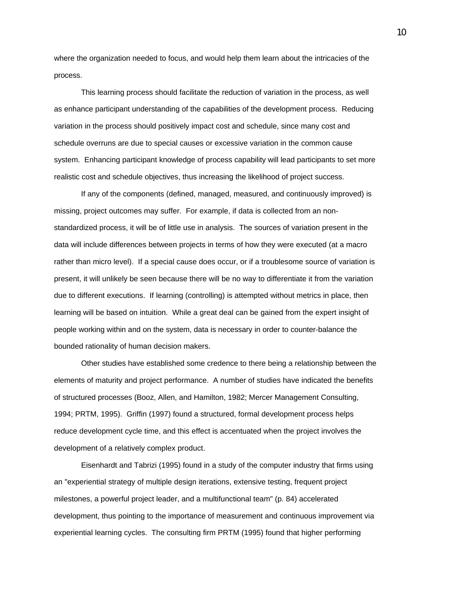where the organization needed to focus, and would help them learn about the intricacies of the process.

This learning process should facilitate the reduction of variation in the process, as well as enhance participant understanding of the capabilities of the development process. Reducing variation in the process should positively impact cost and schedule, since many cost and schedule overruns are due to special causes or excessive variation in the common cause system. Enhancing participant knowledge of process capability will lead participants to set more realistic cost and schedule objectives, thus increasing the likelihood of project success.

If any of the components (defined, managed, measured, and continuously improved) is missing, project outcomes may suffer. For example, if data is collected from an nonstandardized process, it will be of little use in analysis. The sources of variation present in the data will include differences between projects in terms of how they were executed (at a macro rather than micro level). If a special cause does occur, or if a troublesome source of variation is present, it will unlikely be seen because there will be no way to differentiate it from the variation due to different executions.If learning (controlling) is attempted without metrics in place, then learning will be based on intuition. While a great deal can be gained from the expert insight of people working within and on the system, data is necessary in order to counter-balance the bounded rationality of human decision makers.

Other studies have established some credence to there being a relationship between the elements of maturity and project performance. A number of studies have indicated the benefits of structured processes (Booz, Allen, and Hamilton, 1982; Mercer Management Consulting, 1994; PRTM, 1995). Griffin (1997) found a structured, formal development process helps reduce development cycle time, and this effect is accentuated when the project involves the development of a relatively complex product.

Eisenhardt and Tabrizi (1995) found in a study of the computer industry that firms using an "experiential strategy of multiple design iterations, extensive testing, frequent project milestones, a powerful project leader, and a multifunctional team" (p. 84) accelerated development, thus pointing to the importance of measurement and continuous improvement via experiential learning cycles. The consulting firm PRTM (1995) found that higher performing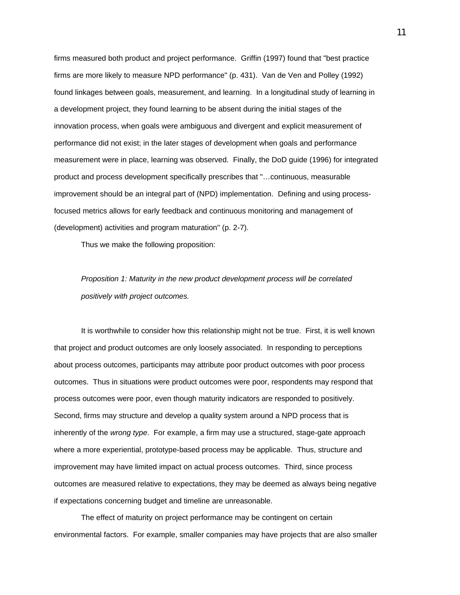firms measured both product and project performance. Griffin (1997) found that "best practice firms are more likely to measure NPD performance" (p. 431). Van de Ven and Polley (1992) found linkages between goals, measurement, and learning. In a longitudinal study of learning in a development project, they found learning to be absent during the initial stages of the innovation process, when goals were ambiguous and divergent and explicit measurement of performance did not exist; in the later stages of development when goals and performance measurement were in place, learning was observed. Finally, the DoD guide (1996) for integrated product and process development specifically prescribes that "…continuous, measurable improvement should be an integral part of (NPD) implementation. Defining and using processfocused metrics allows for early feedback and continuous monitoring and management of (development) activities and program maturation" (p. 2-7).

Thus we make the following proposition:

*Proposition 1: Maturity in the new product development process will be correlated positively with project outcomes.*

It is worthwhile to consider how this relationship might not be true. First, it is well known that project and product outcomes are only loosely associated. In responding to perceptions about process outcomes, participants may attribute poor product outcomes with poor process outcomes. Thus in situations were product outcomes were poor, respondents may respond that process outcomes were poor, even though maturity indicators are responded to positively. Second, firms may structure and develop a quality system around a NPD process that is inherently of the *wrong type*. For example, a firm may use a structured, stage-gate approach where a more experiential, prototype-based process may be applicable. Thus, structure and improvement may have limited impact on actual process outcomes. Third, since process outcomes are measured relative to expectations, they may be deemed as always being negative if expectations concerning budget and timeline are unreasonable.

The effect of maturity on project performance may be contingent on certain environmental factors. For example, smaller companies may have projects that are also smaller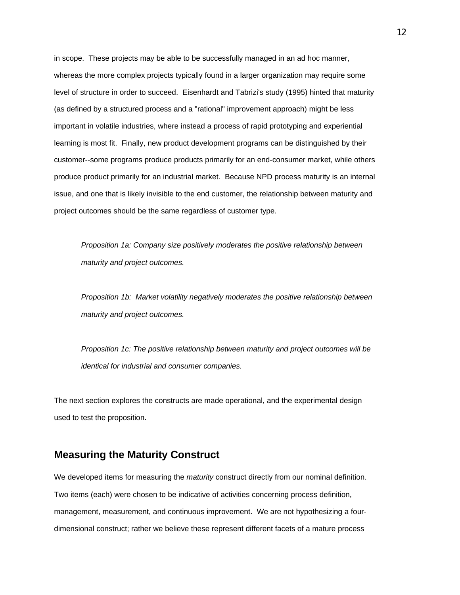in scope. These projects may be able to be successfully managed in an ad hoc manner, whereas the more complex projects typically found in a larger organization may require some level of structure in order to succeed. Eisenhardt and Tabrizi's study (1995) hinted that maturity (as defined by a structured process and a "rational" improvement approach) might be less important in volatile industries, where instead a process of rapid prototyping and experiential learning is most fit. Finally, new product development programs can be distinguished by their customer--some programs produce products primarily for an end-consumer market, while others produce product primarily for an industrial market. Because NPD process maturity is an internal issue, and one that is likely invisible to the end customer, the relationship between maturity and project outcomes should be the same regardless of customer type.

*Proposition 1a: Company size positively moderates the positive relationship between maturity and project outcomes.*

*Proposition 1b: Market volatility negatively moderates the positive relationship between maturity and project outcomes.*

*Proposition 1c: The positive relationship between maturity and project outcomes will be identical for industrial and consumer companies.*

The next section explores the constructs are made operational, and the experimental design used to test the proposition.

### **Measuring the Maturity Construct**

We developed items for measuring the *maturity* construct directly from our nominal definition. Two items (each) were chosen to be indicative of activities concerning process definition, management, measurement, and continuous improvement. We are not hypothesizing a fourdimensional construct; rather we believe these represent different facets of a mature process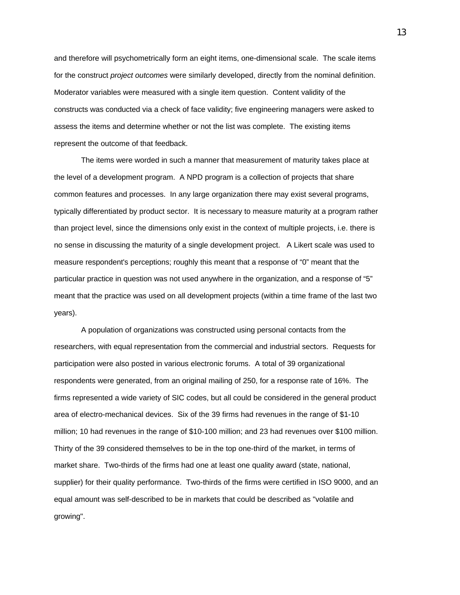and therefore will psychometrically form an eight items, one-dimensional scale. The scale items for the construct *project outcomes* were similarly developed, directly from the nominal definition. Moderator variables were measured with a single item question. Content validity of the constructs was conducted via a check of face validity; five engineering managers were asked to assess the items and determine whether or not the list was complete. The existing items represent the outcome of that feedback.

The items were worded in such a manner that measurement of maturity takes place at the level of a development program. A NPD program is a collection of projects that share common features and processes. In any large organization there may exist several programs, typically differentiated by product sector. It is necessary to measure maturity at a program rather than project level, since the dimensions only exist in the context of multiple projects, i.e. there is no sense in discussing the maturity of a single development project. A Likert scale was used to measure respondent's perceptions; roughly this meant that a response of "0" meant that the particular practice in question was not used anywhere in the organization, and a response of "5" meant that the practice was used on all development projects (within a time frame of the last two years).

A population of organizations was constructed using personal contacts from the researchers, with equal representation from the commercial and industrial sectors. Requests for participation were also posted in various electronic forums. A total of 39 organizational respondents were generated, from an original mailing of 250, for a response rate of 16%. The firms represented a wide variety of SIC codes, but all could be considered in the general product area of electro-mechanical devices. Six of the 39 firms had revenues in the range of \$1-10 million; 10 had revenues in the range of \$10-100 million; and 23 had revenues over \$100 million. Thirty of the 39 considered themselves to be in the top one-third of the market, in terms of market share. Two-thirds of the firms had one at least one quality award (state, national, supplier) for their quality performance. Two-thirds of the firms were certified in ISO 9000, and an equal amount was self-described to be in markets that could be described as "volatile and growing".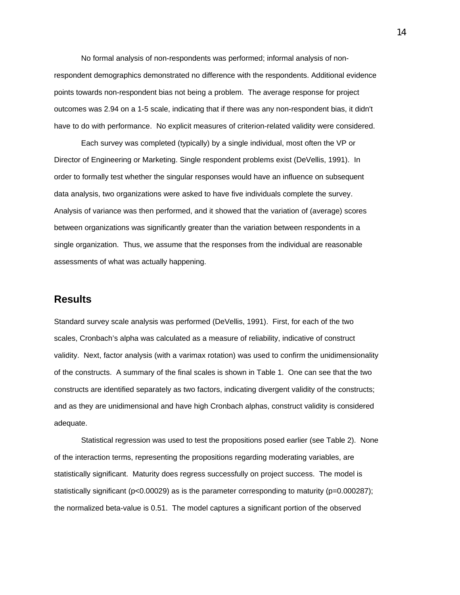No formal analysis of non-respondents was performed; informal analysis of nonrespondent demographics demonstrated no difference with the respondents. Additional evidence points towards non-respondent bias not being a problem. The average response for project outcomes was 2.94 on a 1-5 scale, indicating that if there was any non-respondent bias, it didn't have to do with performance. No explicit measures of criterion-related validity were considered.

Each survey was completed (typically) by a single individual, most often the VP or Director of Engineering or Marketing. Single respondent problems exist (DeVellis, 1991). In order to formally test whether the singular responses would have an influence on subsequent data analysis, two organizations were asked to have five individuals complete the survey. Analysis of variance was then performed, and it showed that the variation of (average) scores between organizations was significantly greater than the variation between respondents in a single organization. Thus, we assume that the responses from the individual are reasonable assessments of what was actually happening.

#### **Results**

Standard survey scale analysis was performed (DeVellis, 1991). First, for each of the two scales, Cronbach's alpha was calculated as a measure of reliability, indicative of construct validity. Next, factor analysis (with a varimax rotation) was used to confirm the unidimensionality of the constructs. A summary of the final scales is shown in Table 1. One can see that the two constructs are identified separately as two factors, indicating divergent validity of the constructs; and as they are unidimensional and have high Cronbach alphas, construct validity is considered adequate.

Statistical regression was used to test the propositions posed earlier (see Table 2). None of the interaction terms, representing the propositions regarding moderating variables, are statistically significant. Maturity does regress successfully on project success. The model is statistically significant (p<0.00029) as is the parameter corresponding to maturity (p=0.000287); the normalized beta-value is 0.51. The model captures a significant portion of the observed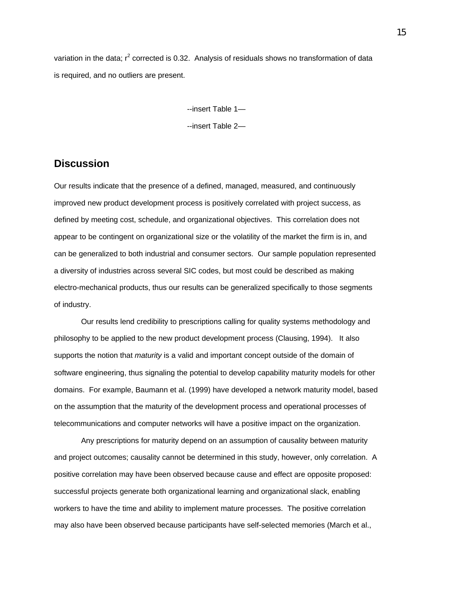variation in the data;  $r^2$  corrected is 0.32. Analysis of residuals shows no transformation of data is required, and no outliers are present.

> --insert Table 1— --insert Table 2—

### **Discussion**

Our results indicate that the presence of a defined, managed, measured, and continuously improved new product development process is positively correlated with project success, as defined by meeting cost, schedule, and organizational objectives. This correlation does not appear to be contingent on organizational size or the volatility of the market the firm is in, and can be generalized to both industrial and consumer sectors. Our sample population represented a diversity of industries across several SIC codes, but most could be described as making electro-mechanical products, thus our results can be generalized specifically to those segments of industry.

Our results lend credibility to prescriptions calling for quality systems methodology and philosophy to be applied to the new product development process (Clausing, 1994). It also supports the notion that *maturity* is a valid and important concept outside of the domain of software engineering, thus signaling the potential to develop capability maturity models for other domains. For example, Baumann et al. (1999) have developed a network maturity model, based on the assumption that the maturity of the development process and operational processes of telecommunications and computer networks will have a positive impact on the organization.

Any prescriptions for maturity depend on an assumption of causality between maturity and project outcomes; causality cannot be determined in this study, however, only correlation. A positive correlation may have been observed because cause and effect are opposite proposed: successful projects generate both organizational learning and organizational slack, enabling workers to have the time and ability to implement mature processes. The positive correlation may also have been observed because participants have self-selected memories (March et al.,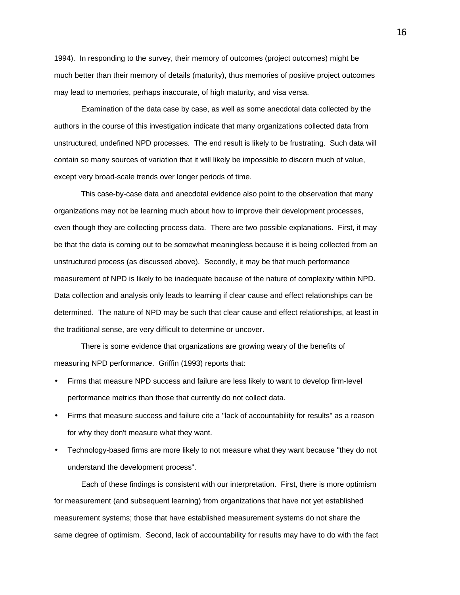1994). In responding to the survey, their memory of outcomes (project outcomes) might be much better than their memory of details (maturity), thus memories of positive project outcomes may lead to memories, perhaps inaccurate, of high maturity, and visa versa.

Examination of the data case by case, as well as some anecdotal data collected by the authors in the course of this investigation indicate that many organizations collected data from unstructured, undefined NPD processes. The end result is likely to be frustrating. Such data will contain so many sources of variation that it will likely be impossible to discern much of value, except very broad-scale trends over longer periods of time.

This case-by-case data and anecdotal evidence also point to the observation that many organizations may not be learning much about how to improve their development processes, even though they are collecting process data. There are two possible explanations. First, it may be that the data is coming out to be somewhat meaningless because it is being collected from an unstructured process (as discussed above). Secondly, it may be that much performance measurement of NPD is likely to be inadequate because of the nature of complexity within NPD. Data collection and analysis only leads to learning if clear cause and effect relationships can be determined. The nature of NPD may be such that clear cause and effect relationships, at least in the traditional sense, are very difficult to determine or uncover.

There is some evidence that organizations are growing weary of the benefits of measuring NPD performance. Griffin (1993) reports that:

- Firms that measure NPD success and failure are less likely to want to develop firm-level performance metrics than those that currently do not collect data.
- Firms that measure success and failure cite a "lack of accountability for results" as a reason for why they don't measure what they want.
- Technology-based firms are more likely to not measure what they want because "they do not understand the development process".

Each of these findings is consistent with our interpretation. First, there is more optimism for measurement (and subsequent learning) from organizations that have not yet established measurement systems; those that have established measurement systems do not share the same degree of optimism. Second, lack of accountability for results may have to do with the fact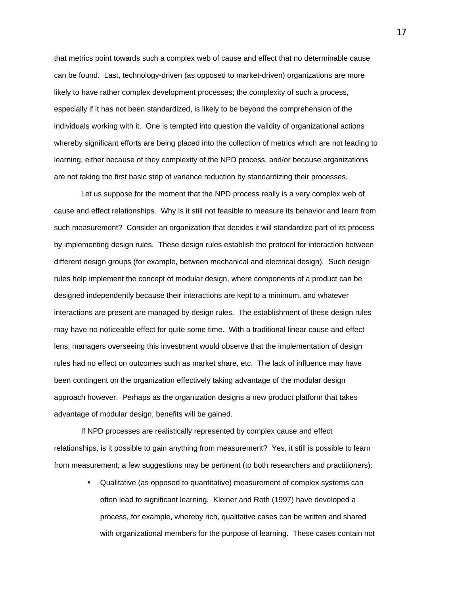that metrics point towards such a complex web of cause and effect that no determinable cause can be found. Last, technology-driven (as opposed to market-driven) organizations are more likely to have rather complex development processes; the complexity of such a process, especially if it has not been standardized, is likely to be beyond the comprehension of the individuals working with it. One is tempted into question the validity of organizational actions whereby significant efforts are being placed into the collection of metrics which are not leading to learning, either because of they complexity of the NPD process, and/or because organizations are not taking the first basic step of variance reduction by standardizing their processes.

Let us suppose for the moment that the NPD process really is a very complex web of cause and effect relationships. Why is it still not feasible to measure its behavior and learn from such measurement? Consider an organization that decides it will standardize part of its process by implementing design rules. These design rules establish the protocol for interaction between different design groups (for example, between mechanical and electrical design). Such design rules help implement the concept of modular design, where components of a product can be designed independently because their interactions are kept to a minimum, and whatever interactions are present are managed by design rules. The establishment of these design rules may have no noticeable effect for quite some time. With a traditional linear cause and effect lens, managers overseeing this investment would observe that the implementation of design rules had no effect on outcomes such as market share, etc. The lack of influence may have been contingent on the organization effectively taking advantage of the modular design approach however. Perhaps as the organization designs a new product platform that takes advantage of modular design, benefits will be gained.

If NPD processes are realistically represented by complex cause and effect relationships, is it possible to gain anything from measurement? Yes, it still is possible to learn from measurement; a few suggestions may be pertinent (to both researchers and practitioners):

> • Qualitative (as opposed to quantitative) measurement of complex systems can often lead to significant learning. Kleiner and Roth (1997) have developed a process, for example, whereby rich, qualitative cases can be written and shared with organizational members for the purpose of learning. These cases contain not

17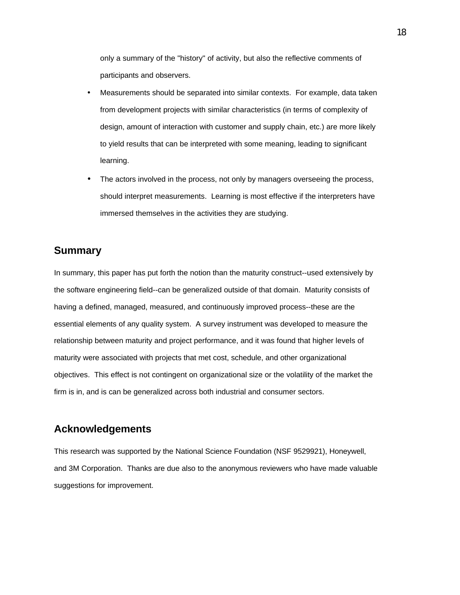only a summary of the "history" of activity, but also the reflective comments of participants and observers.

- Measurements should be separated into similar contexts. For example, data taken from development projects with similar characteristics (in terms of complexity of design, amount of interaction with customer and supply chain, etc.) are more likely to yield results that can be interpreted with some meaning, leading to significant learning.
- The actors involved in the process, not only by managers overseeing the process, should interpret measurements. Learning is most effective if the interpreters have immersed themselves in the activities they are studying.

## **Summary**

In summary, this paper has put forth the notion than the maturity construct--used extensively by the software engineering field--can be generalized outside of that domain. Maturity consists of having a defined, managed, measured, and continuously improved process--these are the essential elements of any quality system. A survey instrument was developed to measure the relationship between maturity and project performance, and it was found that higher levels of maturity were associated with projects that met cost, schedule, and other organizational objectives. This effect is not contingent on organizational size or the volatility of the market the firm is in, and is can be generalized across both industrial and consumer sectors.

## **Acknowledgements**

This research was supported by the National Science Foundation (NSF 9529921), Honeywell, and 3M Corporation. Thanks are due also to the anonymous reviewers who have made valuable suggestions for improvement.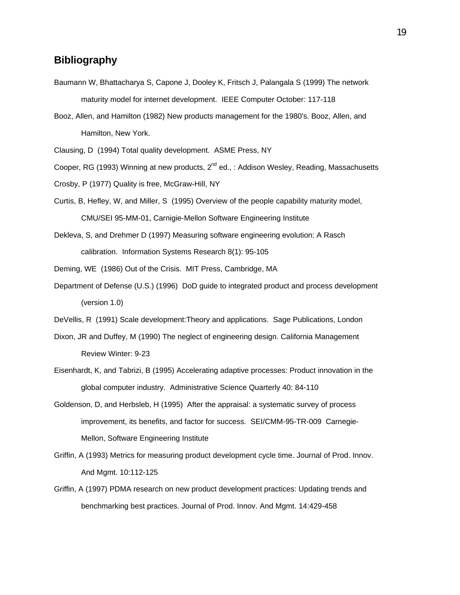## **Bibliography**

- Baumann W, Bhattacharya S, Capone J, Dooley K, Fritsch J, Palangala S (1999) The network maturity model for internet development. IEEE Computer October: 117-118
- Booz, Allen, and Hamilton (1982) New products management for the 1980's. Booz, Allen, and Hamilton, New York.
- Clausing, D (1994) Total quality development. ASME Press, NY
- Cooper, RG (1993) Winning at new products,  $2^{nd}$  ed., : Addison Wesley, Reading, Massachusetts
- Crosby, P (1977) Quality is free, McGraw-Hill, NY
- Curtis, B, Hefley, W, and Miller, S (1995) Overview of the people capability maturity model, CMU/SEI 95-MM-01, Carnigie-Mellon Software Engineering Institute
- Dekleva, S, and Drehmer D (1997) Measuring software engineering evolution: A Rasch calibration. Information Systems Research 8(1): 95-105
- Deming, WE (1986) Out of the Crisis. MIT Press, Cambridge, MA
- Department of Defense (U.S.) (1996) DoD guide to integrated product and process development (version 1.0)
- DeVellis, R (1991) Scale development:Theory and applications. Sage Publications, London
- Dixon, JR and Duffey, M (1990) The neglect of engineering design. California Management Review Winter: 9-23
- Eisenhardt, K, and Tabrizi, B (1995) Accelerating adaptive processes: Product innovation in the global computer industry. Administrative Science Quarterly 40: 84-110
- Goldenson, D, and Herbsleb, H (1995) After the appraisal: a systematic survey of process improvement, its benefits, and factor for success. SEI/CMM-95-TR-009 Carnegie-Mellon, Software Engineering Institute
- Griffin, A (1993) Metrics for measuring product development cycle time. Journal of Prod. Innov. And Mgmt. 10:112-125
- Griffin, A (1997) PDMA research on new product development practices: Updating trends and benchmarking best practices. Journal of Prod. Innov. And Mgmt. 14:429-458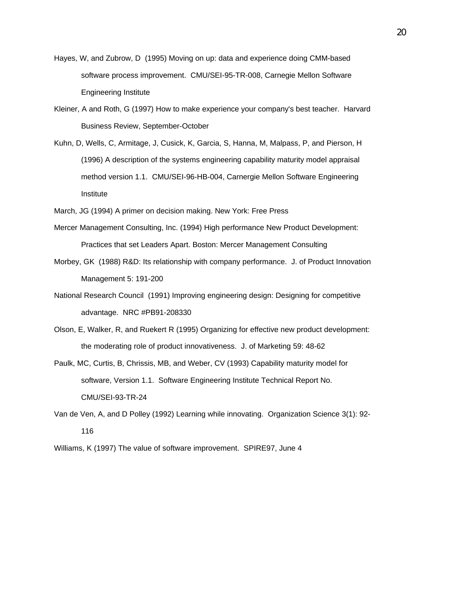- Hayes, W, and Zubrow, D (1995) Moving on up: data and experience doing CMM-based software process improvement. CMU/SEI-95-TR-008, Carnegie Mellon Software Engineering Institute
- Kleiner, A and Roth, G (1997) How to make experience your company's best teacher. Harvard Business Review, September-October
- Kuhn, D, Wells, C, Armitage, J, Cusick, K, Garcia, S, Hanna, M, Malpass, P, and Pierson, H (1996) A description of the systems engineering capability maturity model appraisal method version 1.1. CMU/SEI-96-HB-004, Carnergie Mellon Software Engineering Institute
- March, JG (1994) A primer on decision making. New York: Free Press
- Mercer Management Consulting, Inc. (1994) High performance New Product Development: Practices that set Leaders Apart. Boston: Mercer Management Consulting
- Morbey, GK (1988) R&D: Its relationship with company performance. J. of Product Innovation Management 5: 191-200
- National Research Council (1991) Improving engineering design: Designing for competitive advantage. NRC #PB91-208330
- Olson, E, Walker, R, and Ruekert R (1995) Organizing for effective new product development: the moderating role of product innovativeness. J. of Marketing 59: 48-62
- Paulk, MC, Curtis, B, Chrissis, MB, and Weber, CV (1993) Capability maturity model for software, Version 1.1. Software Engineering Institute Technical Report No. CMU/SEI-93-TR-24
- Van de Ven, A, and D Polley (1992) Learning while innovating. Organization Science 3(1): 92- 116
- Williams, K (1997) The value of software improvement. SPIRE97, June 4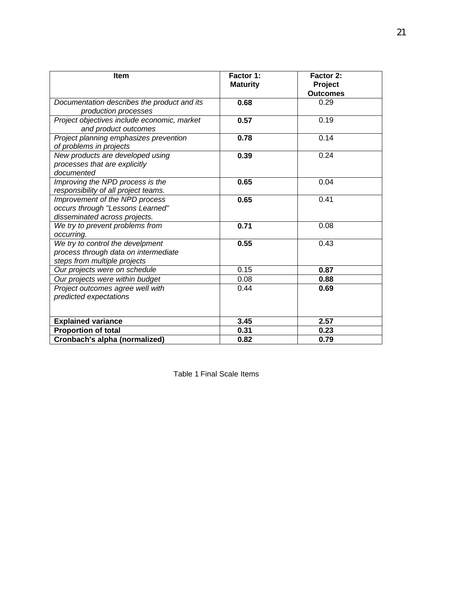| Item                                                                                                     | Factor 1:<br><b>Maturity</b> | Factor 2:<br>Project<br><b>Outcomes</b> |
|----------------------------------------------------------------------------------------------------------|------------------------------|-----------------------------------------|
| Documentation describes the product and its<br>production processes                                      | 0.68                         | 0.29                                    |
| Project objectives include economic, market<br>and product outcomes                                      | 0.57                         | 0.19                                    |
| Project planning emphasizes prevention<br>of problems in projects                                        | 0.78                         | 0.14                                    |
| New products are developed using<br>processes that are explicitly<br>documented                          | 0.39                         | 0.24                                    |
| Improving the NPD process is the<br>responsibility of all project teams.                                 | 0.65                         | 0.04                                    |
| Improvement of the NPD process<br>occurs through "Lessons Learned"<br>disseminated across projects.      | 0.65                         | 0.41                                    |
| We try to prevent problems from<br>occurring.                                                            | 0.71                         | 0.08                                    |
| We try to control the develpment<br>process through data on intermediate<br>steps from multiple projects | 0.55                         | 0.43                                    |
| Our projects were on schedule                                                                            | 0.15                         | 0.87                                    |
| Our projects were within budget                                                                          | 0.08                         | 0.88                                    |
| Project outcomes agree well with<br>predicted expectations                                               | 0.44                         | 0.69                                    |
| <b>Explained variance</b>                                                                                | 3.45                         | 2.57                                    |
| <b>Proportion of total</b>                                                                               | 0.31                         | 0.23                                    |
| Cronbach's alpha (normalized)                                                                            | 0.82                         | 0.79                                    |

Table 1 Final Scale Items